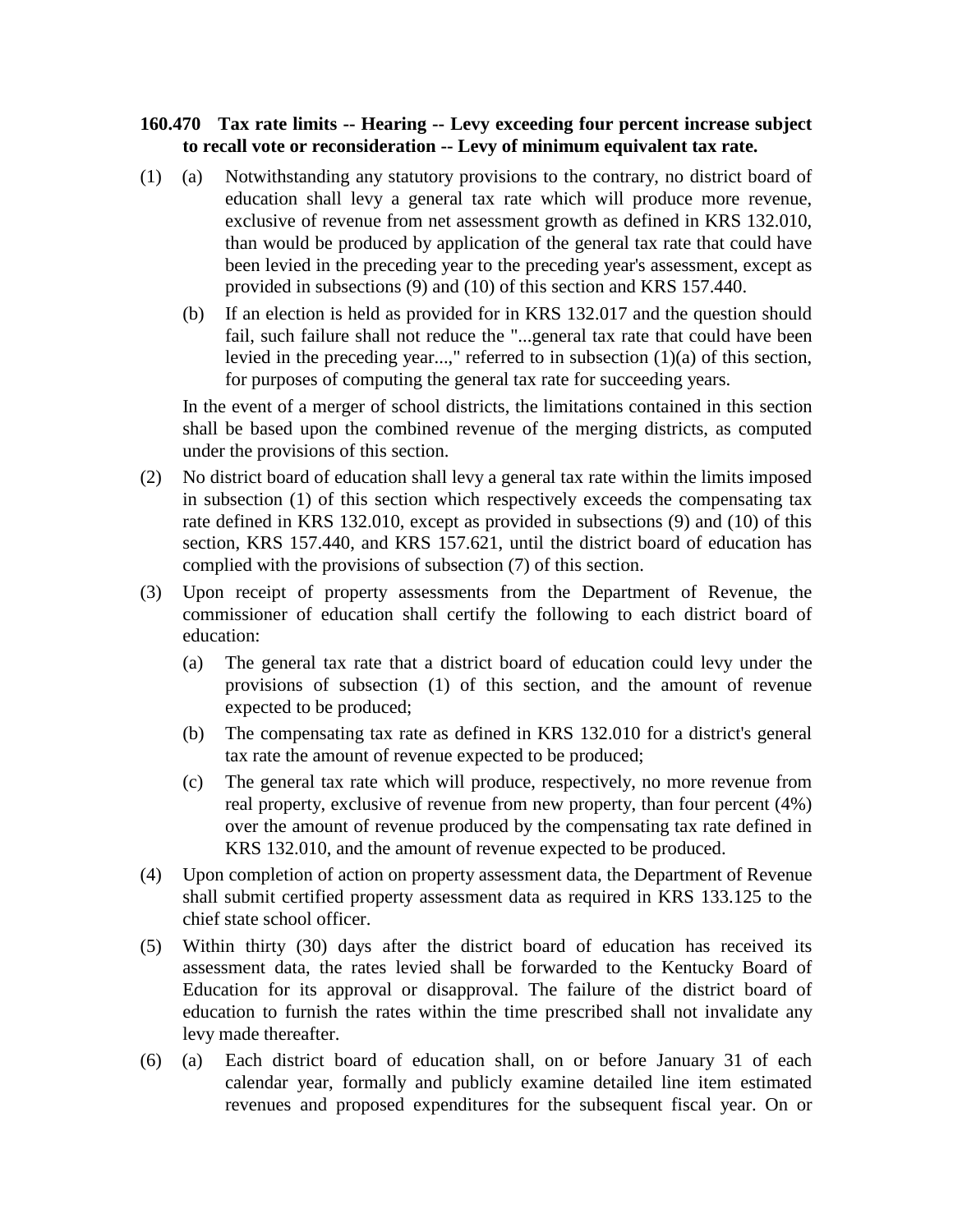## **160.470 Tax rate limits -- Hearing -- Levy exceeding four percent increase subject to recall vote or reconsideration -- Levy of minimum equivalent tax rate.**

- (1) (a) Notwithstanding any statutory provisions to the contrary, no district board of education shall levy a general tax rate which will produce more revenue, exclusive of revenue from net assessment growth as defined in KRS 132.010, than would be produced by application of the general tax rate that could have been levied in the preceding year to the preceding year's assessment, except as provided in subsections (9) and (10) of this section and KRS 157.440.
	- (b) If an election is held as provided for in KRS 132.017 and the question should fail, such failure shall not reduce the "...general tax rate that could have been levied in the preceding year...," referred to in subsection (1)(a) of this section, for purposes of computing the general tax rate for succeeding years.

In the event of a merger of school districts, the limitations contained in this section shall be based upon the combined revenue of the merging districts, as computed under the provisions of this section.

- (2) No district board of education shall levy a general tax rate within the limits imposed in subsection (1) of this section which respectively exceeds the compensating tax rate defined in KRS 132.010, except as provided in subsections (9) and (10) of this section, KRS 157.440, and KRS 157.621, until the district board of education has complied with the provisions of subsection (7) of this section.
- (3) Upon receipt of property assessments from the Department of Revenue, the commissioner of education shall certify the following to each district board of education:
	- (a) The general tax rate that a district board of education could levy under the provisions of subsection (1) of this section, and the amount of revenue expected to be produced;
	- (b) The compensating tax rate as defined in KRS 132.010 for a district's general tax rate the amount of revenue expected to be produced;
	- (c) The general tax rate which will produce, respectively, no more revenue from real property, exclusive of revenue from new property, than four percent (4%) over the amount of revenue produced by the compensating tax rate defined in KRS 132.010, and the amount of revenue expected to be produced.
- (4) Upon completion of action on property assessment data, the Department of Revenue shall submit certified property assessment data as required in KRS 133.125 to the chief state school officer.
- (5) Within thirty (30) days after the district board of education has received its assessment data, the rates levied shall be forwarded to the Kentucky Board of Education for its approval or disapproval. The failure of the district board of education to furnish the rates within the time prescribed shall not invalidate any levy made thereafter.
- (6) (a) Each district board of education shall, on or before January 31 of each calendar year, formally and publicly examine detailed line item estimated revenues and proposed expenditures for the subsequent fiscal year. On or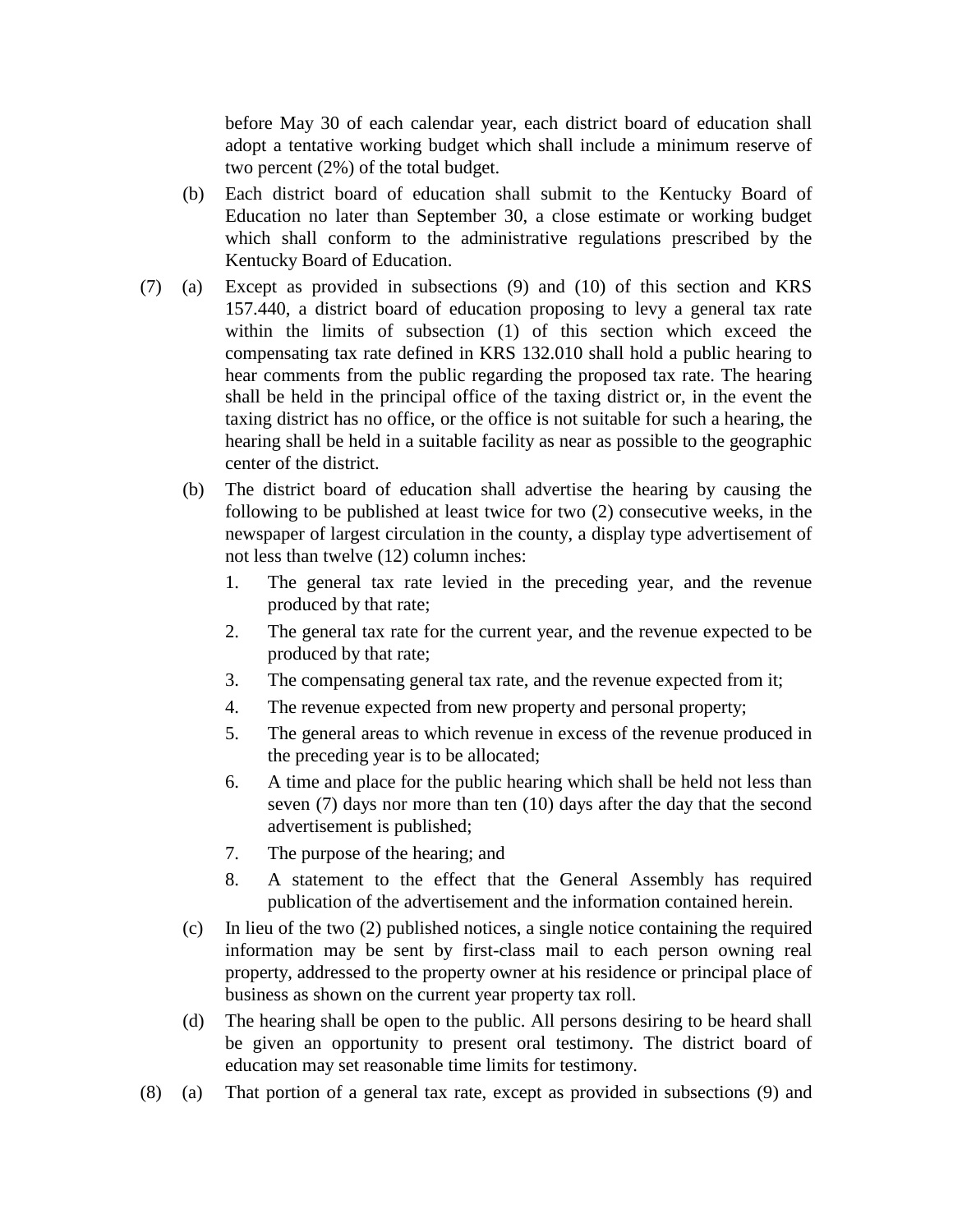before May 30 of each calendar year, each district board of education shall adopt a tentative working budget which shall include a minimum reserve of two percent (2%) of the total budget.

- (b) Each district board of education shall submit to the Kentucky Board of Education no later than September 30, a close estimate or working budget which shall conform to the administrative regulations prescribed by the Kentucky Board of Education.
- (7) (a) Except as provided in subsections (9) and (10) of this section and KRS 157.440, a district board of education proposing to levy a general tax rate within the limits of subsection (1) of this section which exceed the compensating tax rate defined in KRS 132.010 shall hold a public hearing to hear comments from the public regarding the proposed tax rate. The hearing shall be held in the principal office of the taxing district or, in the event the taxing district has no office, or the office is not suitable for such a hearing, the hearing shall be held in a suitable facility as near as possible to the geographic center of the district.
	- (b) The district board of education shall advertise the hearing by causing the following to be published at least twice for two (2) consecutive weeks, in the newspaper of largest circulation in the county, a display type advertisement of not less than twelve (12) column inches:
		- 1. The general tax rate levied in the preceding year, and the revenue produced by that rate;
		- 2. The general tax rate for the current year, and the revenue expected to be produced by that rate;
		- 3. The compensating general tax rate, and the revenue expected from it;
		- 4. The revenue expected from new property and personal property;
		- 5. The general areas to which revenue in excess of the revenue produced in the preceding year is to be allocated;
		- 6. A time and place for the public hearing which shall be held not less than seven (7) days nor more than ten (10) days after the day that the second advertisement is published;
		- 7. The purpose of the hearing; and
		- 8. A statement to the effect that the General Assembly has required publication of the advertisement and the information contained herein.
	- (c) In lieu of the two (2) published notices, a single notice containing the required information may be sent by first-class mail to each person owning real property, addressed to the property owner at his residence or principal place of business as shown on the current year property tax roll.
	- (d) The hearing shall be open to the public. All persons desiring to be heard shall be given an opportunity to present oral testimony. The district board of education may set reasonable time limits for testimony.
- (8) (a) That portion of a general tax rate, except as provided in subsections (9) and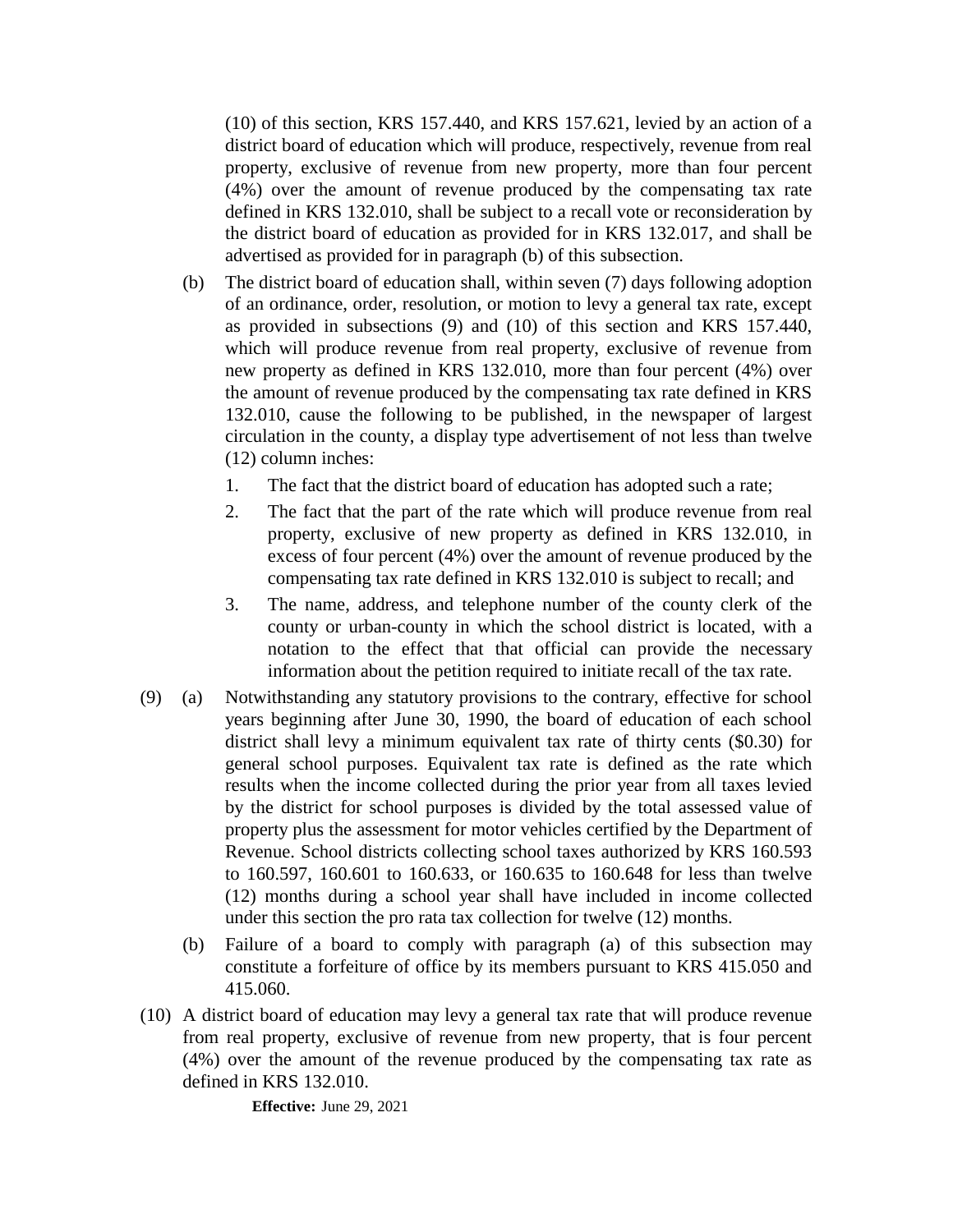(10) of this section, KRS 157.440, and KRS 157.621, levied by an action of a district board of education which will produce, respectively, revenue from real property, exclusive of revenue from new property, more than four percent (4%) over the amount of revenue produced by the compensating tax rate defined in KRS 132.010, shall be subject to a recall vote or reconsideration by the district board of education as provided for in KRS 132.017, and shall be advertised as provided for in paragraph (b) of this subsection.

- (b) The district board of education shall, within seven (7) days following adoption of an ordinance, order, resolution, or motion to levy a general tax rate, except as provided in subsections (9) and (10) of this section and KRS 157.440, which will produce revenue from real property, exclusive of revenue from new property as defined in KRS 132.010, more than four percent (4%) over the amount of revenue produced by the compensating tax rate defined in KRS 132.010, cause the following to be published, in the newspaper of largest circulation in the county, a display type advertisement of not less than twelve (12) column inches:
	- 1. The fact that the district board of education has adopted such a rate;
	- 2. The fact that the part of the rate which will produce revenue from real property, exclusive of new property as defined in KRS 132.010, in excess of four percent (4%) over the amount of revenue produced by the compensating tax rate defined in KRS 132.010 is subject to recall; and
	- 3. The name, address, and telephone number of the county clerk of the county or urban-county in which the school district is located, with a notation to the effect that that official can provide the necessary information about the petition required to initiate recall of the tax rate.
- (9) (a) Notwithstanding any statutory provisions to the contrary, effective for school years beginning after June 30, 1990, the board of education of each school district shall levy a minimum equivalent tax rate of thirty cents (\$0.30) for general school purposes. Equivalent tax rate is defined as the rate which results when the income collected during the prior year from all taxes levied by the district for school purposes is divided by the total assessed value of property plus the assessment for motor vehicles certified by the Department of Revenue. School districts collecting school taxes authorized by KRS 160.593 to 160.597, 160.601 to 160.633, or 160.635 to 160.648 for less than twelve (12) months during a school year shall have included in income collected under this section the pro rata tax collection for twelve (12) months.
	- (b) Failure of a board to comply with paragraph (a) of this subsection may constitute a forfeiture of office by its members pursuant to KRS 415.050 and 415.060.
- (10) A district board of education may levy a general tax rate that will produce revenue from real property, exclusive of revenue from new property, that is four percent (4%) over the amount of the revenue produced by the compensating tax rate as defined in KRS 132.010.

**Effective:** June 29, 2021